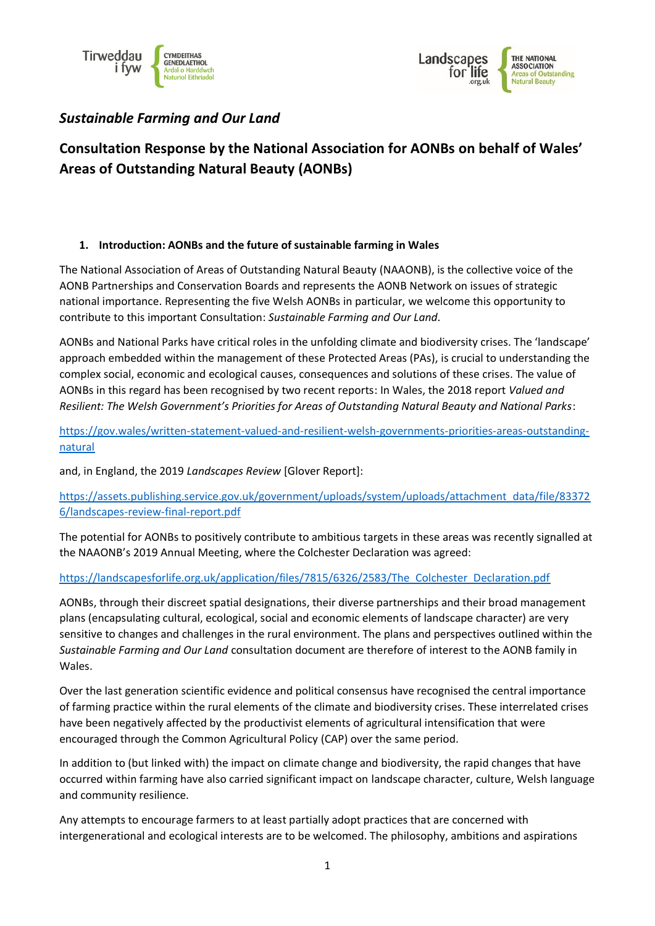

## *Sustainable Farming and Our Land*

# **Consultation Response by the National Association for AONBs on behalf of Wales' Areas of Outstanding Natural Beauty (AONBs)**

### **1. Introduction: AONBs and the future of sustainable farming in Wales**

The National Association of Areas of Outstanding Natural Beauty (NAAONB), is the collective voice of the AONB Partnerships and Conservation Boards and represents the AONB Network on issues of strategic national importance. Representing the five Welsh AONBs in particular, we welcome this opportunity to contribute to this important Consultation: *Sustainable Farming and Our Land*.

AONBs and National Parks have critical roles in the unfolding climate and biodiversity crises. The 'landscape' approach embedded within the management of these Protected Areas (PAs), is crucial to understanding the complex social, economic and ecological causes, consequences and solutions of these crises. The value of AONBs in this regard has been recognised by two recent reports: In Wales, the 2018 report *Valued and Resilient: The Welsh Government's Priorities for Areas of Outstanding Natural Beauty and National Parks*:

[https://gov.wales/written-statement-valued-and-resilient-welsh-governments-priorities-areas-outstanding](https://gov.wales/written-statement-valued-and-resilient-welsh-governments-priorities-areas-outstanding-natural)[natural](https://gov.wales/written-statement-valued-and-resilient-welsh-governments-priorities-areas-outstanding-natural)

and, in England, the 2019 *Landscapes Review* [Glover Report]:

[https://assets.publishing.service.gov.uk/government/uploads/system/uploads/attachment\\_data/file/83372](https://assets.publishing.service.gov.uk/government/uploads/system/uploads/attachment_data/file/833726/landscapes-review-final-report.pdf) [6/landscapes-review-final-report.pdf](https://assets.publishing.service.gov.uk/government/uploads/system/uploads/attachment_data/file/833726/landscapes-review-final-report.pdf)

The potential for AONBs to positively contribute to ambitious targets in these areas was recently signalled at the NAAONB's 2019 Annual Meeting, where the Colchester Declaration was agreed:

### [https://landscapesforlife.org.uk/application/files/7815/6326/2583/The\\_Colchester\\_Declaration.pdf](https://landscapesforlife.org.uk/application/files/7815/6326/2583/The_Colchester_Declaration.pdf)

AONBs, through their discreet spatial designations, their diverse partnerships and their broad management plans (encapsulating cultural, ecological, social and economic elements of landscape character) are very sensitive to changes and challenges in the rural environment. The plans and perspectives outlined within the *Sustainable Farming and Our Land* consultation document are therefore of interest to the AONB family in Wales.

Over the last generation scientific evidence and political consensus have recognised the central importance of farming practice within the rural elements of the climate and biodiversity crises. These interrelated crises have been negatively affected by the productivist elements of agricultural intensification that were encouraged through the Common Agricultural Policy (CAP) over the same period.

In addition to (but linked with) the impact on climate change and biodiversity, the rapid changes that have occurred within farming have also carried significant impact on landscape character, culture, Welsh language and community resilience.

Any attempts to encourage farmers to at least partially adopt practices that are concerned with intergenerational and ecological interests are to be welcomed. The philosophy, ambitions and aspirations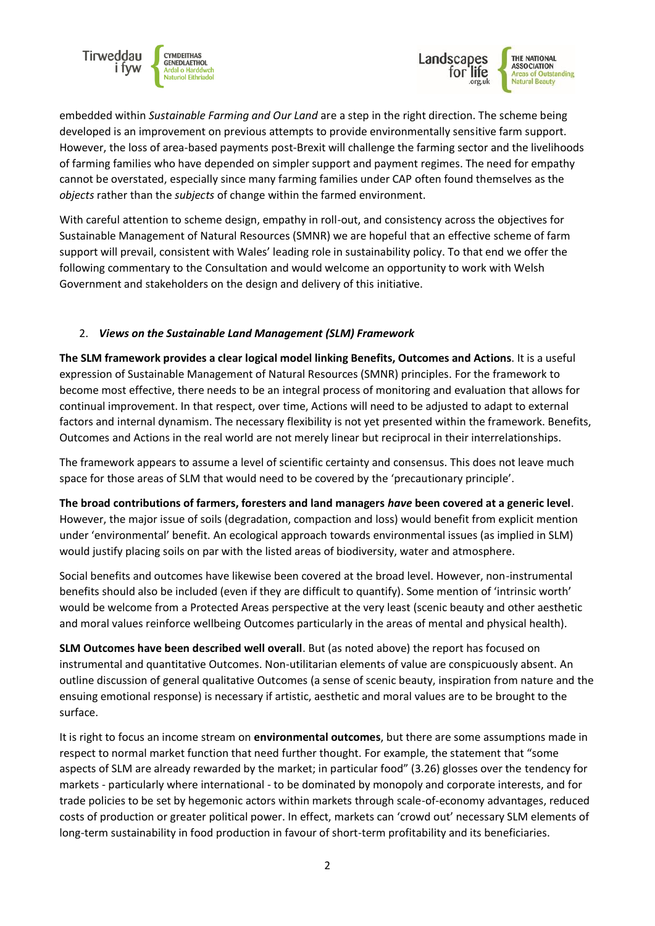



embedded within *Sustainable Farming and Our Land* are a step in the right direction. The scheme being developed is an improvement on previous attempts to provide environmentally sensitive farm support. However, the loss of area-based payments post-Brexit will challenge the farming sector and the livelihoods of farming families who have depended on simpler support and payment regimes. The need for empathy cannot be overstated, especially since many farming families under CAP often found themselves as the *objects* rather than the *subjects* of change within the farmed environment.

With careful attention to scheme design, empathy in roll-out, and consistency across the objectives for Sustainable Management of Natural Resources (SMNR) we are hopeful that an effective scheme of farm support will prevail, consistent with Wales' leading role in sustainability policy. To that end we offer the following commentary to the Consultation and would welcome an opportunity to work with Welsh Government and stakeholders on the design and delivery of this initiative.

### 2. *Views on the Sustainable Land Management (SLM) Framework*

**The SLM framework provides a clear logical model linking Benefits, Outcomes and Actions**. It is a useful expression of Sustainable Management of Natural Resources (SMNR) principles. For the framework to become most effective, there needs to be an integral process of monitoring and evaluation that allows for continual improvement. In that respect, over time, Actions will need to be adjusted to adapt to external factors and internal dynamism. The necessary flexibility is not yet presented within the framework. Benefits, Outcomes and Actions in the real world are not merely linear but reciprocal in their interrelationships.

The framework appears to assume a level of scientific certainty and consensus. This does not leave much space for those areas of SLM that would need to be covered by the 'precautionary principle'.

**The broad contributions of farmers, foresters and land managers** *have* **been covered at a generic level**. However, the major issue of soils (degradation, compaction and loss) would benefit from explicit mention under 'environmental' benefit. An ecological approach towards environmental issues (as implied in SLM) would justify placing soils on par with the listed areas of biodiversity, water and atmosphere.

Social benefits and outcomes have likewise been covered at the broad level. However, non-instrumental benefits should also be included (even if they are difficult to quantify). Some mention of 'intrinsic worth' would be welcome from a Protected Areas perspective at the very least (scenic beauty and other aesthetic and moral values reinforce wellbeing Outcomes particularly in the areas of mental and physical health).

**SLM Outcomes have been described well overall**. But (as noted above) the report has focused on instrumental and quantitative Outcomes. Non-utilitarian elements of value are conspicuously absent. An outline discussion of general qualitative Outcomes (a sense of scenic beauty, inspiration from nature and the ensuing emotional response) is necessary if artistic, aesthetic and moral values are to be brought to the surface.

It is right to focus an income stream on **environmental outcomes**, but there are some assumptions made in respect to normal market function that need further thought. For example, the statement that "some aspects of SLM are already rewarded by the market; in particular food" (3.26) glosses over the tendency for markets - particularly where international - to be dominated by monopoly and corporate interests, and for trade policies to be set by hegemonic actors within markets through scale-of-economy advantages, reduced costs of production or greater political power. In effect, markets can 'crowd out' necessary SLM elements of long-term sustainability in food production in favour of short-term profitability and its beneficiaries.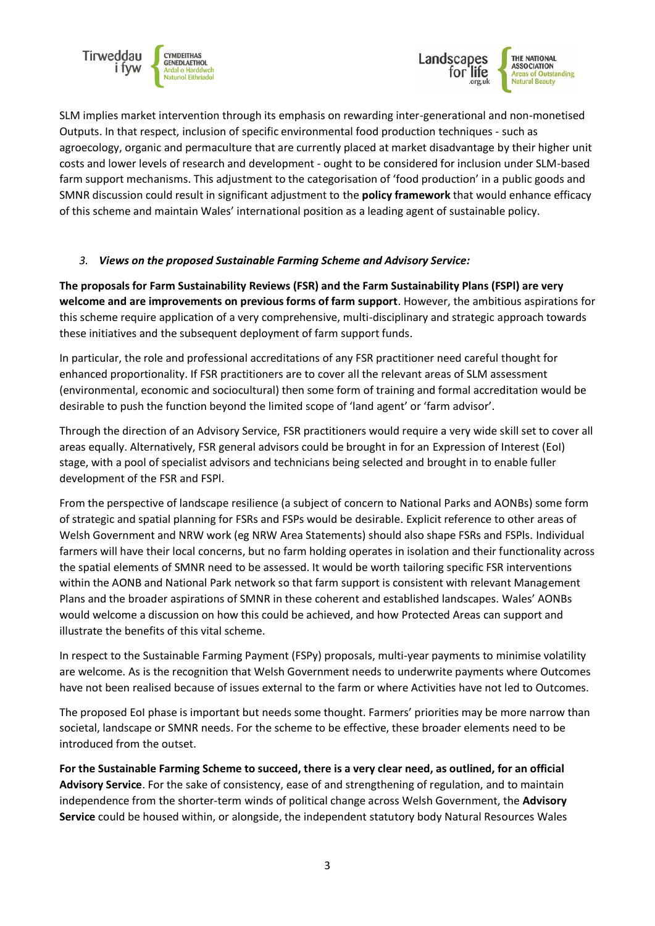



SLM implies market intervention through its emphasis on rewarding inter-generational and non-monetised Outputs. In that respect, inclusion of specific environmental food production techniques - such as agroecology, organic and permaculture that are currently placed at market disadvantage by their higher unit costs and lower levels of research and development - ought to be considered for inclusion under SLM-based farm support mechanisms. This adjustment to the categorisation of 'food production' in a public goods and SMNR discussion could result in significant adjustment to the **policy framework** that would enhance efficacy of this scheme and maintain Wales' international position as a leading agent of sustainable policy.

### *3. Views on the proposed Sustainable Farming Scheme and Advisory Service:*

**The proposals for Farm Sustainability Reviews (FSR) and the Farm Sustainability Plans (FSPl) are very welcome and are improvements on previous forms of farm support**. However, the ambitious aspirations for this scheme require application of a very comprehensive, multi-disciplinary and strategic approach towards these initiatives and the subsequent deployment of farm support funds.

In particular, the role and professional accreditations of any FSR practitioner need careful thought for enhanced proportionality. If FSR practitioners are to cover all the relevant areas of SLM assessment (environmental, economic and sociocultural) then some form of training and formal accreditation would be desirable to push the function beyond the limited scope of 'land agent' or 'farm advisor'.

Through the direction of an Advisory Service, FSR practitioners would require a very wide skill set to cover all areas equally. Alternatively, FSR general advisors could be brought in for an Expression of Interest (EoI) stage, with a pool of specialist advisors and technicians being selected and brought in to enable fuller development of the FSR and FSPl.

From the perspective of landscape resilience (a subject of concern to National Parks and AONBs) some form of strategic and spatial planning for FSRs and FSPs would be desirable. Explicit reference to other areas of Welsh Government and NRW work (eg NRW Area Statements) should also shape FSRs and FSPls. Individual farmers will have their local concerns, but no farm holding operates in isolation and their functionality across the spatial elements of SMNR need to be assessed. It would be worth tailoring specific FSR interventions within the AONB and National Park network so that farm support is consistent with relevant Management Plans and the broader aspirations of SMNR in these coherent and established landscapes. Wales' AONBs would welcome a discussion on how this could be achieved, and how Protected Areas can support and illustrate the benefits of this vital scheme.

In respect to the Sustainable Farming Payment (FSPy) proposals, multi-year payments to minimise volatility are welcome. As is the recognition that Welsh Government needs to underwrite payments where Outcomes have not been realised because of issues external to the farm or where Activities have not led to Outcomes.

The proposed EoI phase is important but needs some thought. Farmers' priorities may be more narrow than societal, landscape or SMNR needs. For the scheme to be effective, these broader elements need to be introduced from the outset.

**For the Sustainable Farming Scheme to succeed, there is a very clear need, as outlined, for an official Advisory Service**. For the sake of consistency, ease of and strengthening of regulation, and to maintain independence from the shorter-term winds of political change across Welsh Government, the **Advisory Service** could be housed within, or alongside, the independent statutory body Natural Resources Wales